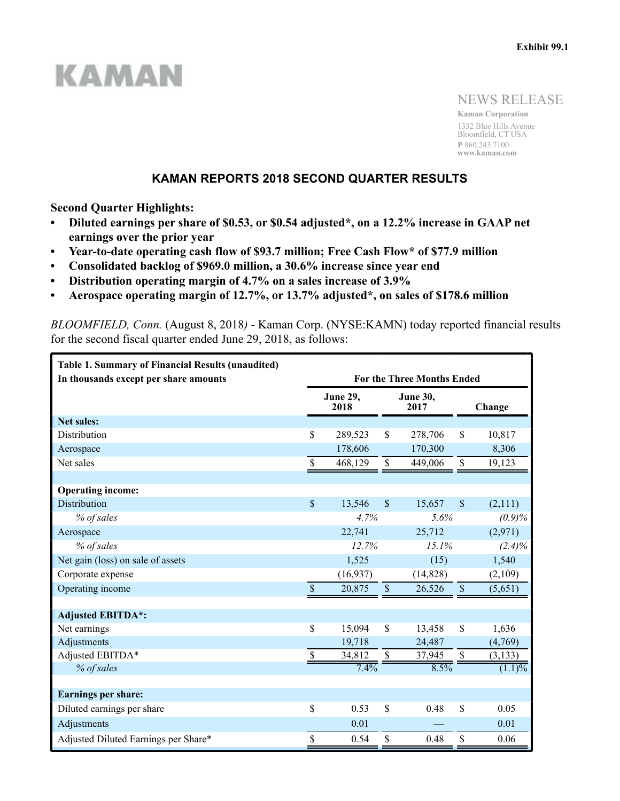# **KAMAN**

NEWS RELEASE

**Kaman Corporation** 1332 Blue Hills Avenue Bloomfield, CT USA **P** 860.243.7100 **www.kaman.com**

# **KAMAN REPORTS 2018 SECOND QUARTER RESULTS**

**Second Quarter Highlights:**

- **Diluted earnings per share of \$0.53, or \$0.54 adjusted\*, on a 12.2% increase in GAAP net earnings over the prior year**
- **Year-to-date operating cash flow of \$93.7 million; Free Cash Flow\* of \$77.9 million**
- **Consolidated backlog of \$969.0 million, a 30.6% increase since year end**
- **Distribution operating margin of 4.7% on a sales increase of 3.9%**
- **Aerospace operating margin of 12.7%, or 13.7% adjusted\*, on sales of \$178.6 million**

*BLOOMFIELD, Conn.* (August 8, 2018*)* - Kaman Corp. (NYSE:KAMN) today reported financial results for the second fiscal quarter ended June 29, 2018, as follows:

| <b>Table 1. Summary of Financial Results (unaudited)</b><br>In thousands except per share amounts | <b>For the Three Months Ended</b> |          |                          |                  |                          |           |  |  |  |  |
|---------------------------------------------------------------------------------------------------|-----------------------------------|----------|--------------------------|------------------|--------------------------|-----------|--|--|--|--|
|                                                                                                   | <b>June 29,</b><br>2018           |          |                          | June 30,<br>2017 |                          | Change    |  |  |  |  |
| <b>Net sales:</b>                                                                                 |                                   |          |                          |                  |                          |           |  |  |  |  |
| Distribution                                                                                      | \$                                | 289,523  | \$                       | 278,706          | \$                       | 10,817    |  |  |  |  |
| Aerospace                                                                                         |                                   | 178,606  |                          | 170,300          |                          | 8,306     |  |  |  |  |
| Net sales                                                                                         | \$                                | 468,129  | \$                       | 449,006          | $\mathbb S$              | 19,123    |  |  |  |  |
|                                                                                                   |                                   |          |                          |                  |                          |           |  |  |  |  |
| <b>Operating income:</b>                                                                          |                                   |          |                          |                  |                          |           |  |  |  |  |
| <b>Distribution</b>                                                                               | $\mathsf{\$}$                     | 13,546   | $\mathsf{\$}$            | 15,657           | $\mathcal{S}$            | (2,111)   |  |  |  |  |
| % of sales                                                                                        | 4.7%                              |          |                          | 5.6%             |                          | (0.9)%    |  |  |  |  |
| Aerospace                                                                                         | 22,741                            |          |                          | 25,712           |                          | (2,971)   |  |  |  |  |
| % of sales                                                                                        | 12.7%                             |          |                          | 15.1%            |                          | $(2.4)\%$ |  |  |  |  |
| Net gain (loss) on sale of assets                                                                 |                                   | 1,525    |                          | (15)             |                          | 1,540     |  |  |  |  |
| Corporate expense                                                                                 |                                   | (16,937) |                          | (14, 828)        |                          | (2,109)   |  |  |  |  |
| Operating income                                                                                  | $\overline{\$}$                   | 20,875   | $\overline{\$}$          | 26,526           | $\overline{\$}$          | (5,651)   |  |  |  |  |
|                                                                                                   |                                   |          |                          |                  |                          |           |  |  |  |  |
| <b>Adjusted EBITDA*:</b>                                                                          |                                   |          |                          |                  |                          |           |  |  |  |  |
| Net earnings                                                                                      | \$                                | 15,094   | \$                       | 13,458           | $\mathcal{S}$            | 1,636     |  |  |  |  |
| Adjustments                                                                                       |                                   | 19,718   |                          | 24,487           |                          | (4,769)   |  |  |  |  |
| Adjusted EBITDA*                                                                                  | \$                                | 34,812   | $\overline{\mathcal{L}}$ | 37,945           | $\overline{\mathcal{S}}$ | (3, 133)  |  |  |  |  |
| % of sales                                                                                        |                                   | 7.4%     |                          | 8.5%             |                          | $(1.1)\%$ |  |  |  |  |
|                                                                                                   |                                   |          |                          |                  |                          |           |  |  |  |  |
| <b>Earnings per share:</b>                                                                        |                                   |          |                          |                  |                          |           |  |  |  |  |
| Diluted earnings per share                                                                        | \$                                | 0.53     | $\mathsf{\$}$            | 0.48             | \$                       | 0.05      |  |  |  |  |
| Adjustments                                                                                       |                                   | 0.01     |                          |                  |                          | 0.01      |  |  |  |  |
| Adjusted Diluted Earnings per Share*                                                              | \$                                | 0.54     | \$                       | 0.48             | \$                       | 0.06      |  |  |  |  |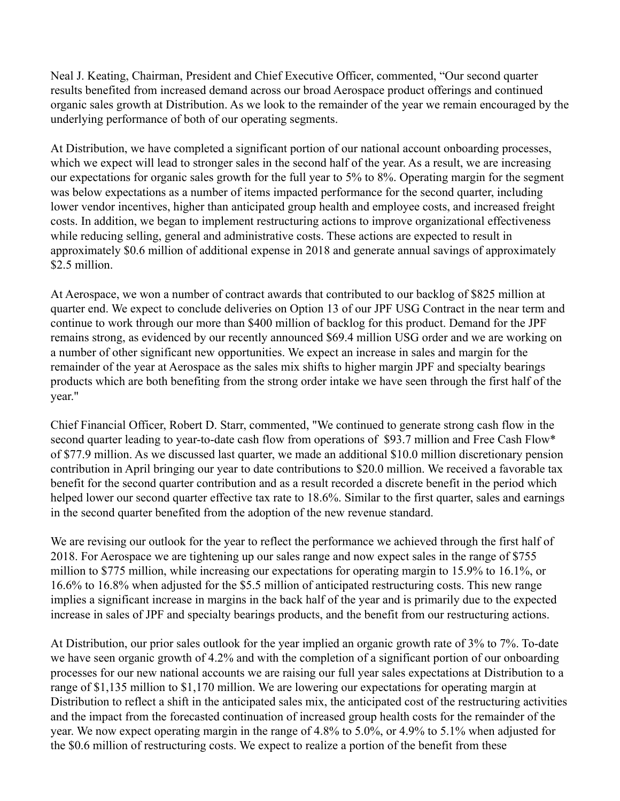Neal J. Keating, Chairman, President and Chief Executive Officer, commented, "Our second quarter results benefited from increased demand across our broad Aerospace product offerings and continued organic sales growth at Distribution. As we look to the remainder of the year we remain encouraged by the underlying performance of both of our operating segments.

At Distribution, we have completed a significant portion of our national account onboarding processes, which we expect will lead to stronger sales in the second half of the year. As a result, we are increasing our expectations for organic sales growth for the full year to 5% to 8%. Operating margin for the segment was below expectations as a number of items impacted performance for the second quarter, including lower vendor incentives, higher than anticipated group health and employee costs, and increased freight costs. In addition, we began to implement restructuring actions to improve organizational effectiveness while reducing selling, general and administrative costs. These actions are expected to result in approximately \$0.6 million of additional expense in 2018 and generate annual savings of approximately \$2.5 million.

At Aerospace, we won a number of contract awards that contributed to our backlog of \$825 million at quarter end. We expect to conclude deliveries on Option 13 of our JPF USG Contract in the near term and continue to work through our more than \$400 million of backlog for this product. Demand for the JPF remains strong, as evidenced by our recently announced \$69.4 million USG order and we are working on a number of other significant new opportunities. We expect an increase in sales and margin for the remainder of the year at Aerospace as the sales mix shifts to higher margin JPF and specialty bearings products which are both benefiting from the strong order intake we have seen through the first half of the year."

Chief Financial Officer, Robert D. Starr, commented, "We continued to generate strong cash flow in the second quarter leading to year-to-date cash flow from operations of \$93.7 million and Free Cash Flow\* of \$77.9 million. As we discussed last quarter, we made an additional \$10.0 million discretionary pension contribution in April bringing our year to date contributions to \$20.0 million. We received a favorable tax benefit for the second quarter contribution and as a result recorded a discrete benefit in the period which helped lower our second quarter effective tax rate to 18.6%. Similar to the first quarter, sales and earnings in the second quarter benefited from the adoption of the new revenue standard.

We are revising our outlook for the year to reflect the performance we achieved through the first half of 2018. For Aerospace we are tightening up our sales range and now expect sales in the range of \$755 million to \$775 million, while increasing our expectations for operating margin to 15.9% to 16.1%, or 16.6% to 16.8% when adjusted for the \$5.5 million of anticipated restructuring costs. This new range implies a significant increase in margins in the back half of the year and is primarily due to the expected increase in sales of JPF and specialty bearings products, and the benefit from our restructuring actions.

At Distribution, our prior sales outlook for the year implied an organic growth rate of 3% to 7%. To-date we have seen organic growth of 4.2% and with the completion of a significant portion of our onboarding processes for our new national accounts we are raising our full year sales expectations at Distribution to a range of \$1,135 million to \$1,170 million. We are lowering our expectations for operating margin at Distribution to reflect a shift in the anticipated sales mix, the anticipated cost of the restructuring activities and the impact from the forecasted continuation of increased group health costs for the remainder of the year. We now expect operating margin in the range of 4.8% to 5.0%, or 4.9% to 5.1% when adjusted for the \$0.6 million of restructuring costs. We expect to realize a portion of the benefit from these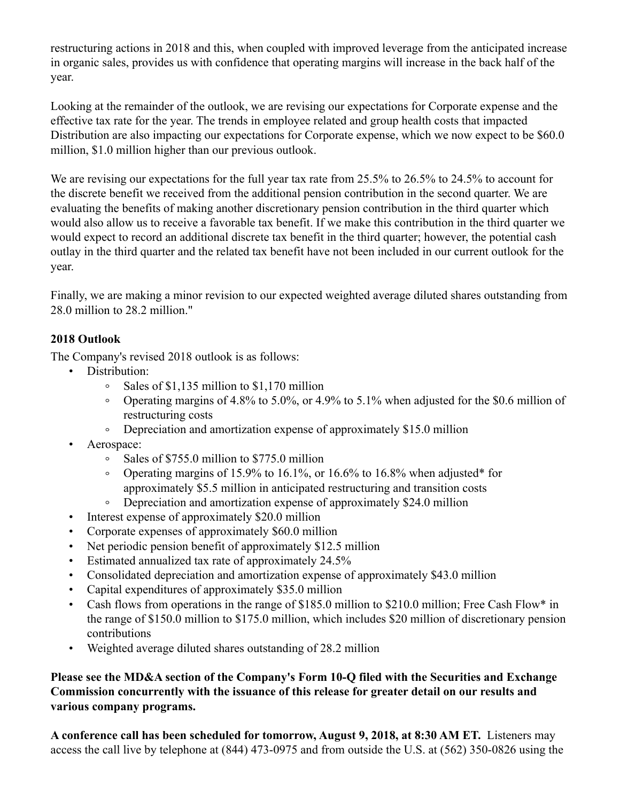restructuring actions in 2018 and this, when coupled with improved leverage from the anticipated increase in organic sales, provides us with confidence that operating margins will increase in the back half of the year.

Looking at the remainder of the outlook, we are revising our expectations for Corporate expense and the effective tax rate for the year. The trends in employee related and group health costs that impacted Distribution are also impacting our expectations for Corporate expense, which we now expect to be \$60.0 million, \$1.0 million higher than our previous outlook.

We are revising our expectations for the full year tax rate from 25.5% to 26.5% to 24.5% to account for the discrete benefit we received from the additional pension contribution in the second quarter. We are evaluating the benefits of making another discretionary pension contribution in the third quarter which would also allow us to receive a favorable tax benefit. If we make this contribution in the third quarter we would expect to record an additional discrete tax benefit in the third quarter; however, the potential cash outlay in the third quarter and the related tax benefit have not been included in our current outlook for the year.

Finally, we are making a minor revision to our expected weighted average diluted shares outstanding from 28.0 million to 28.2 million."

# **2018 Outlook**

The Company's revised 2018 outlook is as follows:

- Distribution:
	- Sales of \$1,135 million to \$1,170 million  $\circ$
	- Operating margins of 4.8% to 5.0%, or 4.9% to 5.1% when adjusted for the \$0.6 million of  $\circ$ restructuring costs
	- Depreciation and amortization expense of approximately \$15.0 million  $\circ$
- Aerospace:
	- Sales of \$755.0 million to \$775.0 million  $\circ$
	- Operating margins of 15.9% to 16.1%, or 16.6% to 16.8% when adjusted\* for approximately \$5.5 million in anticipated restructuring and transition costs
	- Depreciation and amortization expense of approximately \$24.0 million  $\circ$
- Interest expense of approximately \$20.0 million
- Corporate expenses of approximately \$60.0 million
- Net periodic pension benefit of approximately \$12.5 million
- Estimated annualized tax rate of approximately 24.5%
- Consolidated depreciation and amortization expense of approximately \$43.0 million
- Capital expenditures of approximately \$35.0 million
- Cash flows from operations in the range of \$185.0 million to \$210.0 million; Free Cash Flow\* in the range of \$150.0 million to \$175.0 million, which includes \$20 million of discretionary pension contributions
- Weighted average diluted shares outstanding of 28.2 million

# **Please see the MD&A section of the Company's Form 10-Q filed with the Securities and Exchange Commission concurrently with the issuance of this release for greater detail on our results and various company programs.**

**A conference call has been scheduled for tomorrow, August 9, 2018, at 8:30 AM ET.** Listeners may access the call live by telephone at (844) 473-0975 and from outside the U.S. at (562) 350-0826 using the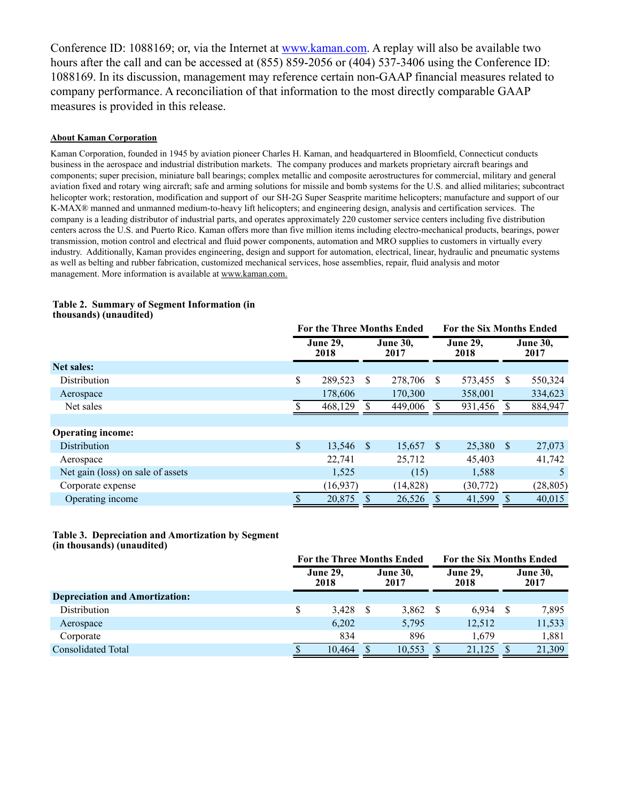Conference ID: 1088169; or, via the Internet at www.kaman.com. A replay will also be available two hours after the call and can be accessed at (855) 859-2056 or (404) 537-3406 using the Conference ID: 1088169. In its discussion, management may reference certain non-GAAP financial measures related to company performance. A reconciliation of that information to the most directly comparable GAAP measures is provided in this release.

## **About Kaman Corporation**

Kaman Corporation, founded in 1945 by aviation pioneer Charles H. Kaman, and headquartered in Bloomfield, Connecticut conducts business in the aerospace and industrial distribution markets. The company produces and markets proprietary aircraft bearings and components; super precision, miniature ball bearings; complex metallic and composite aerostructures for commercial, military and general aviation fixed and rotary wing aircraft; safe and arming solutions for missile and bomb systems for the U.S. and allied militaries; subcontract helicopter work; restoration, modification and support of our SH-2G Super Seasprite maritime helicopters; manufacture and support of our K-MAX® manned and unmanned medium-to-heavy lift helicopters; and engineering design, analysis and certification services. The company is a leading distributor of industrial parts, and operates approximately 220 customer service centers including five distribution centers across the U.S. and Puerto Rico. Kaman offers more than five million items including electro-mechanical products, bearings, power transmission, motion control and electrical and fluid power components, automation and MRO supplies to customers in virtually every industry. Additionally, Kaman provides engineering, design and support for automation, electrical, linear, hydraulic and pneumatic systems as well as belting and rubber fabrication, customized mechanical services, hose assemblies, repair, fluid analysis and motor management. More information is available at www.kaman.com.

|                                   | <b>For the Three Months Ended</b> |      |                         |      | <b>For the Six Months Ended</b> |              |                         |
|-----------------------------------|-----------------------------------|------|-------------------------|------|---------------------------------|--------------|-------------------------|
|                                   | <b>June 29,</b><br>2018           |      | <b>June 30,</b><br>2017 |      | <b>June 29,</b><br>2018         |              | <b>June 30,</b><br>2017 |
| <b>Net sales:</b>                 |                                   |      |                         |      |                                 |              |                         |
| <b>Distribution</b>               | \$<br>289,523                     | S    | 278,706                 | -S   | 573,455                         | S            | 550,324                 |
| Aerospace                         | 178,606                           |      | 170,300                 |      | 358,001                         |              | 334,623                 |
| Net sales                         | 468.129                           |      | 449,006                 |      | 931,456                         | -S           | 884,947                 |
|                                   |                                   |      |                         |      |                                 |              |                         |
| <b>Operating income:</b>          |                                   |      |                         |      |                                 |              |                         |
| Distribution                      | \$<br>13,546                      | - \$ | 15,657                  | - \$ | 25,380                          | <sup>S</sup> | 27,073                  |
| Aerospace                         | 22,741                            |      | 25,712                  |      | 45,403                          |              | 41,742                  |
| Net gain (loss) on sale of assets | 1,525                             |      | (15)                    |      | 1,588                           |              | 5                       |
| Corporate expense                 | (16, 937)                         |      | (14, 828)               |      | (30,772)                        |              | (28, 805)               |
| Operating income                  | 20,875                            |      | 26,526                  |      | 41,599                          |              | 40,015                  |

#### **Table 2. Summary of Segment Information (in thousands) (unaudited)**

#### **Table 3. Depreciation and Amortization by Segment (in thousands) (unaudited)**

|                                       | <b>For the Three Months Ended</b> |                         |                         |        |     | <b>For the Six Months Ended</b> |                         |        |  |
|---------------------------------------|-----------------------------------|-------------------------|-------------------------|--------|-----|---------------------------------|-------------------------|--------|--|
|                                       |                                   | <b>June 29,</b><br>2018 | <b>June 30,</b><br>2017 |        |     | <b>June 29,</b><br>2018         | <b>June 30,</b><br>2017 |        |  |
| <b>Depreciation and Amortization:</b> |                                   |                         |                         |        |     |                                 |                         |        |  |
| Distribution                          |                                   | 3,428                   | - \$                    | 3,862  | - S | 6.934                           |                         | 7,895  |  |
| Aerospace                             |                                   | 6,202                   |                         | 5,795  |     | 12,512                          |                         | 11,533 |  |
| Corporate                             |                                   | 834                     |                         | 896    |     | 1.679                           |                         | 1,881  |  |
| <b>Consolidated Total</b>             |                                   | 10.464                  |                         | 10.553 |     | 21.125                          |                         | 21,309 |  |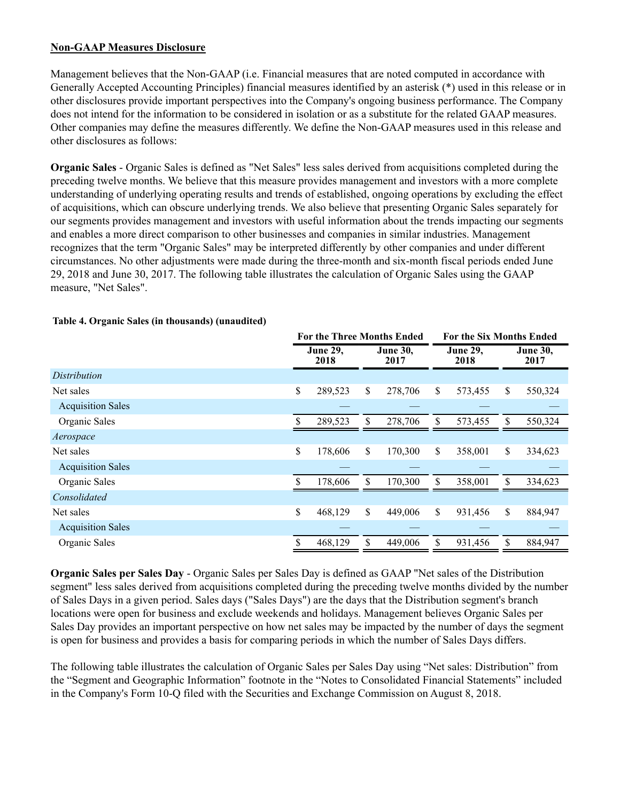## **Non-GAAP Measures Disclosure**

Management believes that the Non-GAAP (i.e. Financial measures that are noted computed in accordance with Generally Accepted Accounting Principles) financial measures identified by an asterisk (\*) used in this release or in other disclosures provide important perspectives into the Company's ongoing business performance. The Company does not intend for the information to be considered in isolation or as a substitute for the related GAAP measures. Other companies may define the measures differently. We define the Non-GAAP measures used in this release and other disclosures as follows:

**Organic Sales** - Organic Sales is defined as "Net Sales" less sales derived from acquisitions completed during the preceding twelve months. We believe that this measure provides management and investors with a more complete understanding of underlying operating results and trends of established, ongoing operations by excluding the effect of acquisitions, which can obscure underlying trends. We also believe that presenting Organic Sales separately for our segments provides management and investors with useful information about the trends impacting our segments and enables a more direct comparison to other businesses and companies in similar industries. Management recognizes that the term "Organic Sales" may be interpreted differently by other companies and under different circumstances. No other adjustments were made during the three-month and six-month fiscal periods ended June 29, 2018 and June 30, 2017. The following table illustrates the calculation of Organic Sales using the GAAP measure, "Net Sales".

|                          | <b>For the Three Months Ended</b> |                         |                         |         |                         | <b>For the Six Months Ended</b> |              |                         |  |
|--------------------------|-----------------------------------|-------------------------|-------------------------|---------|-------------------------|---------------------------------|--------------|-------------------------|--|
|                          |                                   | <b>June 29,</b><br>2018 | <b>June 30,</b><br>2017 |         | <b>June 29,</b><br>2018 |                                 |              | <b>June 30,</b><br>2017 |  |
| Distribution             |                                   |                         |                         |         |                         |                                 |              |                         |  |
| Net sales                | \$                                | 289,523                 | \$                      | 278,706 | \$                      | 573,455                         | \$           | 550,324                 |  |
| <b>Acquisition Sales</b> |                                   |                         |                         |         |                         |                                 |              |                         |  |
| Organic Sales            |                                   | 289,523                 | \$                      | 278,706 | \$                      | 573,455                         | \$           | 550,324                 |  |
| Aerospace                |                                   |                         |                         |         |                         |                                 |              |                         |  |
| Net sales                | \$                                | 178,606                 | \$                      | 170,300 | \$                      | 358,001                         | \$           | 334,623                 |  |
| <b>Acquisition Sales</b> |                                   |                         |                         |         |                         |                                 |              |                         |  |
| Organic Sales            |                                   | 178,606                 | \$                      | 170,300 | \$                      | 358,001                         | \$           | 334,623                 |  |
| Consolidated             |                                   |                         |                         |         |                         |                                 |              |                         |  |
| Net sales                | \$                                | 468,129                 | \$                      | 449,006 | \$                      | 931,456                         | $\mathbb{S}$ | 884,947                 |  |
| <b>Acquisition Sales</b> |                                   |                         |                         |         |                         |                                 |              |                         |  |
| Organic Sales            |                                   | 468,129                 | \$                      | 449,006 | \$                      | 931,456                         | \$           | 884,947                 |  |

## **Table 4. Organic Sales (in thousands) (unaudited)**

**Organic Sales per Sales Day** - Organic Sales per Sales Day is defined as GAAP "Net sales of the Distribution segment" less sales derived from acquisitions completed during the preceding twelve months divided by the number of Sales Days in a given period. Sales days ("Sales Days") are the days that the Distribution segment's branch locations were open for business and exclude weekends and holidays. Management believes Organic Sales per Sales Day provides an important perspective on how net sales may be impacted by the number of days the segment is open for business and provides a basis for comparing periods in which the number of Sales Days differs.

The following table illustrates the calculation of Organic Sales per Sales Day using "Net sales: Distribution" from the "Segment and Geographic Information" footnote in the "Notes to Consolidated Financial Statements" included in the Company's Form 10-Q filed with the Securities and Exchange Commission on August 8, 2018.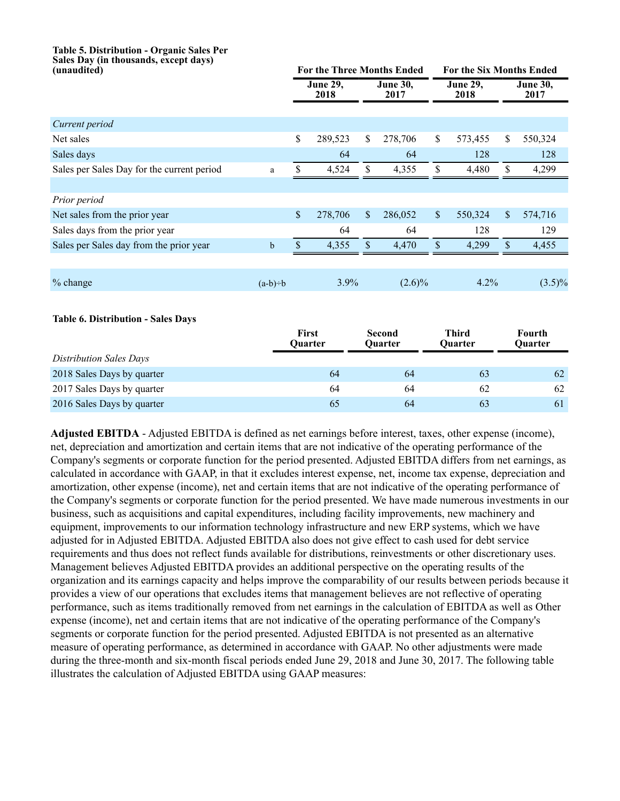# **Table 5. Distribution - Organic Sales Per Sales Day (in thousands, except days)**

| (unaudited)                                |             | <b>For the Three Months Ended</b> |                         |                                 |                           | <b>For the Six Months Ended</b> |              |                          |
|--------------------------------------------|-------------|-----------------------------------|-------------------------|---------------------------------|---------------------------|---------------------------------|--------------|--------------------------|
|                                            |             |                                   | <b>June 29,</b><br>2018 | June $30,$<br>2017              |                           | <b>June 29,</b><br>2018         |              | <b>June 30,</b><br>2017  |
|                                            |             |                                   |                         |                                 |                           |                                 |              |                          |
| Current period                             |             |                                   |                         |                                 |                           |                                 |              |                          |
| Net sales                                  |             | \$                                | 289,523                 | \$<br>278,706                   | \$                        | 573,455                         | \$           | 550,324                  |
| Sales days                                 |             |                                   | 64                      | 64                              |                           | 128                             |              | 128                      |
| Sales per Sales Day for the current period | a           | S.                                | 4,524                   | \$<br>4,355                     | \$                        | 4,480                           | \$           | 4,299                    |
|                                            |             |                                   |                         |                                 |                           |                                 |              |                          |
| Prior period                               |             |                                   |                         |                                 |                           |                                 |              |                          |
| Net sales from the prior year              |             | \$                                | 278,706                 | \$<br>286,052                   | $\boldsymbol{\mathsf{S}}$ | 550,324                         | $\mathbb{S}$ | 574,716                  |
| Sales days from the prior year             |             |                                   | 64                      | 64                              |                           | 128                             |              | 129                      |
| Sales per Sales day from the prior year    | $\mathbf b$ | $\mathbb{S}$                      | 4,355                   | \$<br>4,470                     | \$                        | 4,299                           | \$           | 4,455                    |
|                                            |             |                                   |                         |                                 |                           |                                 |              |                          |
| % change                                   | $(a-b)=b$   |                                   | 3.9%                    | $(2.6)\%$                       |                           | 4.2%                            |              | $(3.5)\%$                |
| <b>Table 6. Distribution - Sales Days</b>  |             |                                   |                         |                                 |                           |                                 |              |                          |
|                                            |             | First<br><b>Ouarter</b>           |                         | <b>Second</b><br><b>Ouarter</b> |                           | <b>Third</b><br>Ouarter         |              | Fourth<br><b>Ouarter</b> |
| <b>Distribution Sales Days</b>             |             |                                   |                         |                                 |                           |                                 |              |                          |
| 2018 Sales Days by quarter                 |             |                                   | 64                      | 64                              |                           | 63                              |              | 62                       |
| 2017 Sales Days by quarter                 |             |                                   | 64                      | 64                              |                           | 62                              |              | 62                       |
| 2016 Sales Days by quarter                 |             |                                   | 65                      | 64                              |                           | 63                              |              | 61                       |

**Adjusted EBITDA** - Adjusted EBITDA is defined as net earnings before interest, taxes, other expense (income), net, depreciation and amortization and certain items that are not indicative of the operating performance of the Company's segments or corporate function for the period presented. Adjusted EBITDA differs from net earnings, as calculated in accordance with GAAP, in that it excludes interest expense, net, income tax expense, depreciation and amortization, other expense (income), net and certain items that are not indicative of the operating performance of the Company's segments or corporate function for the period presented. We have made numerous investments in our business, such as acquisitions and capital expenditures, including facility improvements, new machinery and equipment, improvements to our information technology infrastructure and new ERP systems, which we have adjusted for in Adjusted EBITDA. Adjusted EBITDA also does not give effect to cash used for debt service requirements and thus does not reflect funds available for distributions, reinvestments or other discretionary uses. Management believes Adjusted EBITDA provides an additional perspective on the operating results of the organization and its earnings capacity and helps improve the comparability of our results between periods because it provides a view of our operations that excludes items that management believes are not reflective of operating performance, such as items traditionally removed from net earnings in the calculation of EBITDA as well as Other expense (income), net and certain items that are not indicative of the operating performance of the Company's segments or corporate function for the period presented. Adjusted EBITDA is not presented as an alternative measure of operating performance, as determined in accordance with GAAP. No other adjustments were made during the three-month and six-month fiscal periods ended June 29, 2018 and June 30, 2017. The following table illustrates the calculation of Adjusted EBITDA using GAAP measures: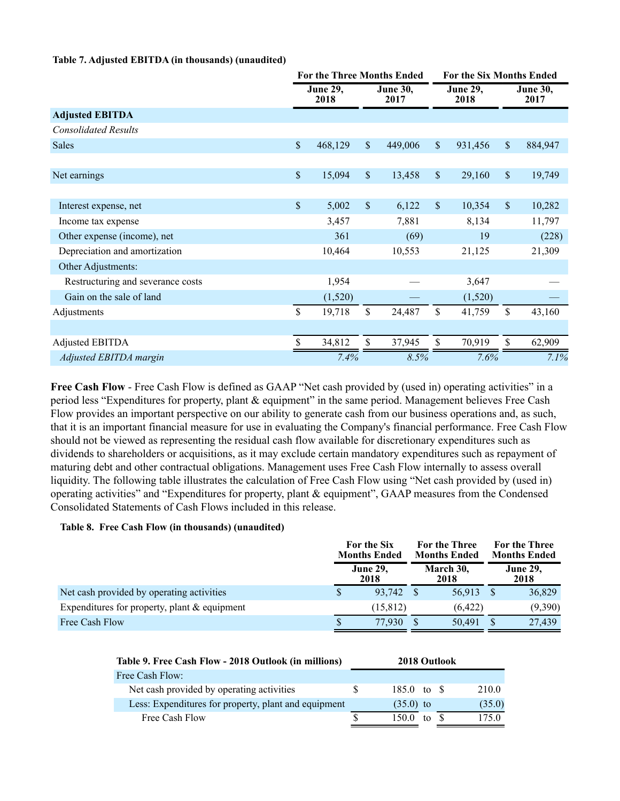## **Table 7. Adjusted EBITDA (in thousands) (unaudited)**

|                                   |               | <b>For the Three Months Ended</b> |                           |                         |                           | For the Six Months Ended |                           |                         |  |  |
|-----------------------------------|---------------|-----------------------------------|---------------------------|-------------------------|---------------------------|--------------------------|---------------------------|-------------------------|--|--|
|                                   |               | <b>June 29,</b><br>2018           |                           | <b>June 30,</b><br>2017 |                           | <b>June 29,</b><br>2018  |                           | <b>June 30,</b><br>2017 |  |  |
| <b>Adjusted EBITDA</b>            |               |                                   |                           |                         |                           |                          |                           |                         |  |  |
| <b>Consolidated Results</b>       |               |                                   |                           |                         |                           |                          |                           |                         |  |  |
| Sales                             | $\mathbb S$   | 468,129                           | $\mathsf{\$}$             | 449,006                 | $\boldsymbol{\mathsf{S}}$ | 931,456                  | $\boldsymbol{\mathsf{S}}$ | 884,947                 |  |  |
|                                   |               |                                   |                           |                         |                           |                          |                           |                         |  |  |
| Net earnings                      | $\mathsf{\$}$ | 15,094                            | $\boldsymbol{\mathsf{S}}$ | 13,458                  | $\boldsymbol{\mathsf{S}}$ | 29,160                   | $\mathsf{\$}$             | 19,749                  |  |  |
|                                   |               |                                   |                           |                         |                           |                          |                           |                         |  |  |
| Interest expense, net             | $\mathbb{S}$  | 5,002                             | $\mathbf{\hat{S}}$        | 6,122                   | \$                        | 10,354                   | \$                        | 10,282                  |  |  |
| Income tax expense                |               | 3,457                             |                           | 7,881                   |                           | 8,134                    |                           | 11,797                  |  |  |
| Other expense (income), net       |               | 361                               |                           | (69)                    |                           | 19                       |                           | (228)                   |  |  |
| Depreciation and amortization     |               | 10,464                            |                           | 10,553                  |                           | 21,125                   |                           | 21,309                  |  |  |
| Other Adjustments:                |               |                                   |                           |                         |                           |                          |                           |                         |  |  |
| Restructuring and severance costs |               | 1,954                             |                           |                         |                           | 3,647                    |                           |                         |  |  |
| Gain on the sale of land          |               | (1,520)                           |                           |                         |                           | (1,520)                  |                           |                         |  |  |
| Adjustments                       | \$            | 19,718                            | \$                        | 24,487                  | $\mathbf S$               | 41,759                   | \$                        | 43,160                  |  |  |
|                                   |               |                                   |                           |                         |                           |                          |                           |                         |  |  |
| Adjusted EBITDA                   | \$.           | 34,812                            | \$                        | 37,945                  | \$                        | 70,919                   | \$                        | 62,909                  |  |  |
| Adjusted EBITDA margin            |               | 7.4%                              |                           | 8.5%                    |                           | 7.6%                     |                           | 7.1%                    |  |  |

Free Cash Flow - Free Cash Flow is defined as GAAP "Net cash provided by (used in) operating activities" in a period less "Expenditures for property, plant & equipment" in the same period. Management believes Free Cash Flow provides an important perspective on our ability to generate cash from our business operations and, as such, that it is an important financial measure for use in evaluating the Company's financial performance. Free Cash Flow should not be viewed as representing the residual cash flow available for discretionary expenditures such as dividends to shareholders or acquisitions, as it may exclude certain mandatory expenditures such as repayment of maturing debt and other contractual obligations. Management uses Free Cash Flow internally to assess overall liquidity. The following table illustrates the calculation of Free Cash Flow using "Net cash provided by (used in) operating activities" and "Expenditures for property, plant & equipment", GAAP measures from the Condensed Consolidated Statements of Cash Flows included in this release.

## **Table 8. Free Cash Flow (in thousands) (unaudited)**

|                                                 | For the Six<br><b>Months Ended</b> | For the Three<br><b>Months Ended</b> | For the Three<br><b>Months Ended</b> |
|-------------------------------------------------|------------------------------------|--------------------------------------|--------------------------------------|
|                                                 | <b>June 29,</b><br>2018            | March 30,<br>2018                    | <b>June 29,</b><br>2018              |
| Net cash provided by operating activities       | 93.742                             | 56,913                               | 36,829                               |
| Expenditures for property, plant $\&$ equipment | (15, 812)                          | (6, 422)                             | (9,390)                              |
| Free Cash Flow                                  | \$<br>77.930                       | 50,491                               | 27.439                               |

| Table 9. Free Cash Flow - 2018 Outlook (in millions) | 2018 Outlook |                       |    |  |        |
|------------------------------------------------------|--------------|-----------------------|----|--|--------|
| Free Cash Flow:                                      |              |                       |    |  |        |
| Net cash provided by operating activities            |              | $185.0 \text{ to }$ S |    |  | 210.0  |
| Less: Expenditures for property, plant and equipment |              | $(35.0)$ to           |    |  | (35.0) |
| Free Cash Flow                                       |              | 150.0                 | tο |  | 1750   |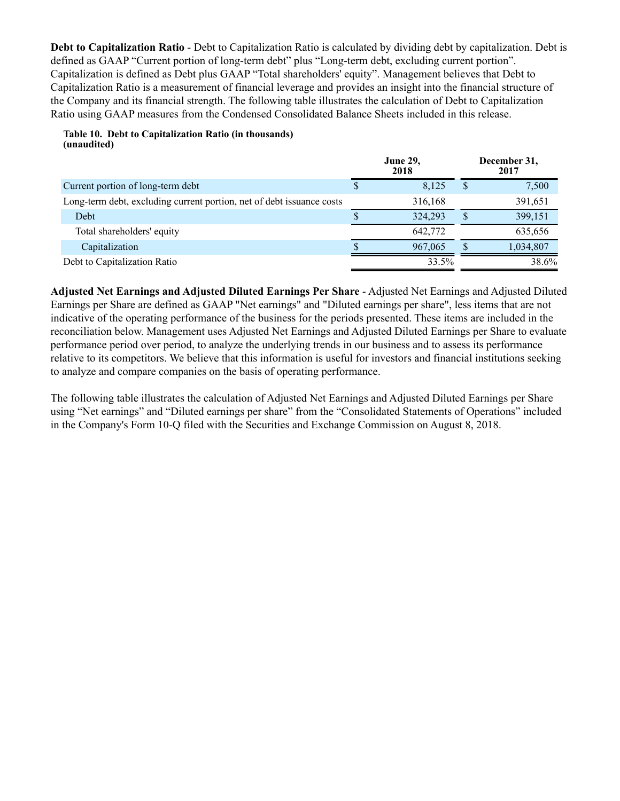**Debt to Capitalization Ratio** - Debt to Capitalization Ratio is calculated by dividing debt by capitalization. Debt is defined as GAAP "Current portion of long-term debt" plus "Long-term debt, excluding current portion". Capitalization is defined as Debt plus GAAP "Total shareholders' equity". Management believes that Debt to Capitalization Ratio is a measurement of financial leverage and provides an insight into the financial structure of the Company and its financial strength. The following table illustrates the calculation of Debt to Capitalization Ratio using GAAP measures from the Condensed Consolidated Balance Sheets included in this release.

#### **Table 10. Debt to Capitalization Ratio (in thousands) (unaudited)**

|                                                                       | <b>June 29,</b><br>2018 |          | December 31,<br>2017 |
|-----------------------------------------------------------------------|-------------------------|----------|----------------------|
| Current portion of long-term debt                                     | 8,125                   |          | 7,500                |
| Long-term debt, excluding current portion, net of debt issuance costs | 316,168                 |          | 391,651              |
| Debt                                                                  | 324,293                 | <b>S</b> | 399,151              |
| Total shareholders' equity                                            | 642,772                 |          | 635,656              |
| Capitalization                                                        | 967,065                 |          | 1,034,807            |
| Debt to Capitalization Ratio                                          | 33.5%                   |          | 38.6%                |

**Adjusted Net Earnings and Adjusted Diluted Earnings Per Share** - Adjusted Net Earnings and Adjusted Diluted Earnings per Share are defined as GAAP "Net earnings" and "Diluted earnings per share", less items that are not indicative of the operating performance of the business for the periods presented. These items are included in the reconciliation below. Management uses Adjusted Net Earnings and Adjusted Diluted Earnings per Share to evaluate performance period over period, to analyze the underlying trends in our business and to assess its performance relative to its competitors. We believe that this information is useful for investors and financial institutions seeking to analyze and compare companies on the basis of operating performance.

The following table illustrates the calculation of Adjusted Net Earnings and Adjusted Diluted Earnings per Share using "Net earnings" and "Diluted earnings per share" from the "Consolidated Statements of Operations" included in the Company's Form 10-Q filed with the Securities and Exchange Commission on August 8, 2018.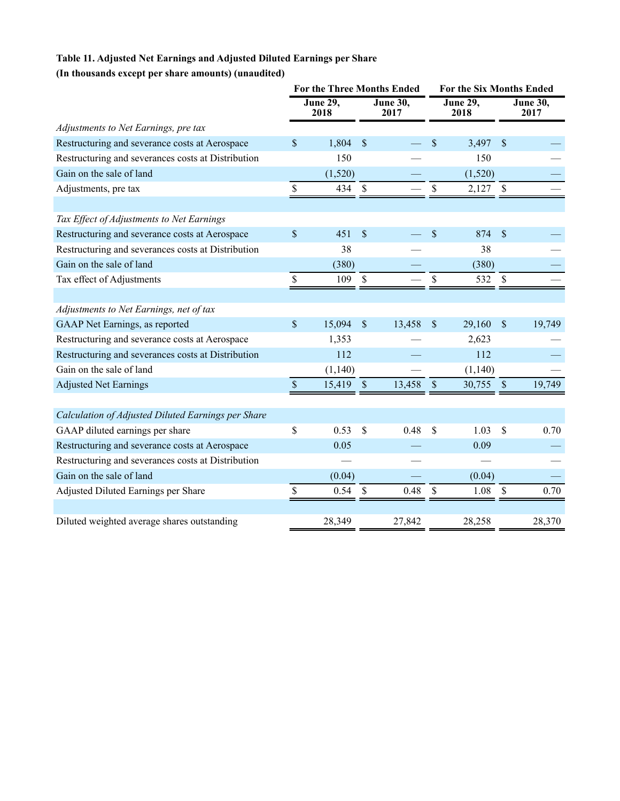# **Table 11. Adjusted Net Earnings and Adjusted Diluted Earnings per Share**

## **(In thousands except per share amounts) (unaudited)**

|                                                    | <b>For the Three Months Ended</b> |                         | <b>For the Six Months Ended</b> |                  |              |                  |                      |                         |
|----------------------------------------------------|-----------------------------------|-------------------------|---------------------------------|------------------|--------------|------------------|----------------------|-------------------------|
|                                                    |                                   | <b>June 29,</b><br>2018 |                                 | June 30,<br>2017 |              | June 29,<br>2018 |                      | <b>June 30,</b><br>2017 |
| Adjustments to Net Earnings, pre tax               |                                   |                         |                                 |                  |              |                  |                      |                         |
| Restructuring and severance costs at Aerospace     | \$                                | 1,804                   | $\mathcal{S}$                   |                  | \$           | 3,497            | $\sqrt{\frac{2}{5}}$ |                         |
| Restructuring and severances costs at Distribution |                                   | 150                     |                                 |                  |              | 150              |                      |                         |
| Gain on the sale of land                           |                                   | (1,520)                 |                                 |                  |              | (1,520)          |                      |                         |
| Adjustments, pre tax                               | \$                                | 434                     | $\boldsymbol{\mathsf{S}}$       |                  | \$           | $2,127$ \$       |                      |                         |
|                                                    |                                   |                         |                                 |                  |              |                  |                      |                         |
| Tax Effect of Adjustments to Net Earnings          |                                   |                         |                                 |                  |              |                  |                      |                         |
| Restructuring and severance costs at Aerospace     | \$                                | 451                     | $\mathcal{S}$                   |                  | \$           | 874              | $\mathsf{\$}$        |                         |
| Restructuring and severances costs at Distribution |                                   | 38                      |                                 |                  |              | 38               |                      |                         |
| Gain on the sale of land                           |                                   | (380)                   |                                 |                  |              | (380)            |                      |                         |
| Tax effect of Adjustments                          | \$                                | 109                     | $\mathbf{\hat{S}}$              |                  | \$           | 532              | $\mathcal{S}$        |                         |
|                                                    |                                   |                         |                                 |                  |              |                  |                      |                         |
| Adjustments to Net Earnings, net of tax            |                                   |                         |                                 |                  |              |                  |                      |                         |
| GAAP Net Earnings, as reported                     | \$                                | 15,094                  | \$                              | 13,458           | \$           | 29,160           | $\sqrt{\ }$          | 19,749                  |
| Restructuring and severance costs at Aerospace     |                                   | 1,353                   |                                 |                  |              | 2,623            |                      |                         |
| Restructuring and severances costs at Distribution |                                   | 112                     |                                 |                  |              | 112              |                      |                         |
| Gain on the sale of land                           |                                   | (1,140)                 |                                 |                  |              | (1, 140)         |                      |                         |
| <b>Adjusted Net Earnings</b>                       | $\mathsf{\$}$                     | 15,419                  | $\sqrt{\ }$                     | 13,458           | $\mathbb{S}$ | 30,755           | $\mathbb{S}$         | 19,749                  |
|                                                    |                                   |                         |                                 |                  |              |                  |                      |                         |
| Calculation of Adjusted Diluted Earnings per Share |                                   |                         |                                 |                  |              |                  |                      |                         |
| GAAP diluted earnings per share                    | \$                                | 0.53                    | \$                              | 0.48             | $\mathbf S$  | 1.03             | $\mathbf S$          | 0.70                    |
| Restructuring and severance costs at Aerospace     |                                   | 0.05                    |                                 |                  |              | 0.09             |                      |                         |
| Restructuring and severances costs at Distribution |                                   |                         |                                 |                  |              |                  |                      |                         |
| Gain on the sale of land                           |                                   | (0.04)                  |                                 |                  |              | (0.04)           |                      |                         |
| Adjusted Diluted Earnings per Share                | $\mathsf{\$}$                     | 0.54                    | $\mathbb S$                     | 0.48             | \$           | 1.08             | $\$$                 | 0.70                    |
|                                                    |                                   |                         |                                 |                  |              |                  |                      |                         |
| Diluted weighted average shares outstanding        |                                   | 28,349                  |                                 | 27,842           |              | 28,258           |                      | 28,370                  |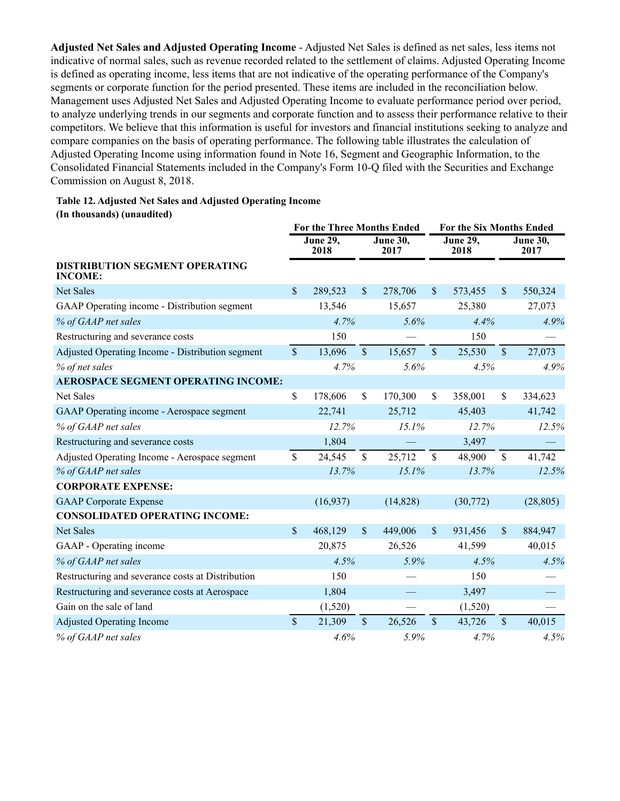**Adjusted Net Sales and Adjusted Operating Income** - Adjusted Net Sales is defined as net sales, less items not indicative of normal sales, such as revenue recorded related to the settlement of claims. Adjusted Operating Income is defined as operating income, less items that are not indicative of the operating performance of the Company's segments or corporate function for the period presented. These items are included in the reconciliation below. Management uses Adjusted Net Sales and Adjusted Operating Income to evaluate performance period over period, to analyze underlying trends in our segments and corporate function and to assess their performance relative to their competitors. We believe that this information is useful for investors and financial institutions seeking to analyze and compare companies on the basis of operating performance. The following table illustrates the calculation of Adjusted Operating Income using information found in Note 16, Segment and Geographic Information, to the Consolidated Financial Statements included in the Company's Form 10-Q filed with the Securities and Exchange Commission on August 8, 2018.

## **Table 12. Adjusted Net Sales and Adjusted Operating Income (In thousands) (unaudited)**

|                                                         | <b>For the Three Months Ended</b> |                         | <b>For the Six Months Ended</b> |                              |                    |                         |                    |                         |
|---------------------------------------------------------|-----------------------------------|-------------------------|---------------------------------|------------------------------|--------------------|-------------------------|--------------------|-------------------------|
|                                                         |                                   | <b>June 29,</b><br>2018 |                                 | <b>June 30,</b><br>2017      |                    | <b>June 29,</b><br>2018 |                    | <b>June 30,</b><br>2017 |
| <b>DISTRIBUTION SEGMENT OPERATING</b><br><b>INCOME:</b> |                                   |                         |                                 |                              |                    |                         |                    |                         |
| <b>Net Sales</b>                                        | $\mathcal{S}$                     | 289,523                 | \$                              | 278,706                      | \$                 | 573,455                 | $\mathsf{\$}$      | 550,324                 |
| GAAP Operating income - Distribution segment            |                                   | 13,546                  |                                 | 15,657                       |                    | 25,380                  |                    | 27,073                  |
| % of GAAP net sales                                     |                                   | 4.7%                    | 5.6%                            |                              |                    | 4.4%                    |                    | 4.9%                    |
| Restructuring and severance costs                       |                                   | 150                     |                                 |                              |                    | 150                     |                    |                         |
| Adjusted Operating Income - Distribution segment        | $\mathbf{\hat{S}}$                | 13,696                  | $\mathsf{\$}$                   | $\mathbf{\hat{S}}$<br>15,657 |                    | 25,530                  | $\mathbf{\hat{S}}$ | 27,073                  |
| % of net sales                                          |                                   | 4.7%                    |                                 | 5.6%                         |                    | 4.5%                    |                    | 4.9%                    |
| <b>AEROSPACE SEGMENT OPERATING INCOME:</b>              |                                   |                         |                                 |                              |                    |                         |                    |                         |
| <b>Net Sales</b>                                        | \$                                | 178,606                 | \$                              | 170,300                      | \$                 | 358,001                 | \$                 | 334,623                 |
| GAAP Operating income - Aerospace segment               |                                   | 22,741                  |                                 | 25,712                       |                    | 45,403                  |                    | 41,742                  |
| % of GAAP net sales                                     |                                   | 12.7%                   |                                 | 15.1%                        |                    | 12.7%                   |                    | 12.5%                   |
| Restructuring and severance costs                       |                                   | 1,804                   |                                 |                              |                    | 3,497                   |                    |                         |
| Adjusted Operating Income - Aerospace segment           | $\mathsf{\$}$                     | 24,545                  | $\mathsf{\$}$                   | 25,712                       | $\mathbf S$        | 48,900                  | \$                 | 41,742                  |
| % of GAAP net sales                                     |                                   | 13.7%                   |                                 | 15.1%                        |                    | 13.7%                   |                    | 12.5%                   |
| <b>CORPORATE EXPENSE:</b>                               |                                   |                         |                                 |                              |                    |                         |                    |                         |
| <b>GAAP</b> Corporate Expense                           |                                   | (16, 937)               |                                 | (14,828)                     |                    | (30,772)                |                    | (28, 805)               |
| <b>CONSOLIDATED OPERATING INCOME:</b>                   |                                   |                         |                                 |                              |                    |                         |                    |                         |
| <b>Net Sales</b>                                        | \$                                | 468,129                 | $\mathcal{S}$                   | 449,006                      | \$                 | 931,456                 | $\mathbb{S}$       | 884,947                 |
| GAAP - Operating income                                 |                                   | 20,875                  |                                 | 26,526                       |                    | 41,599                  |                    | 40,015                  |
| % of GAAP net sales                                     |                                   | 4.5%                    |                                 | 5.9%                         |                    | 4.5%                    |                    | 4.5%                    |
| Restructuring and severance costs at Distribution       |                                   | 150                     |                                 |                              |                    | 150                     |                    |                         |
| Restructuring and severance costs at Aerospace          |                                   | 1,804                   |                                 |                              |                    | 3,497                   |                    |                         |
| Gain on the sale of land                                |                                   | (1,520)                 |                                 |                              |                    | (1,520)                 |                    |                         |
| <b>Adjusted Operating Income</b>                        | $\mathsf{\$}$                     | 21,309                  | $\mathbf S$                     | 26,526                       | $\mathbf{\hat{S}}$ | 43,726                  | \$                 | 40,015                  |
| % of GAAP net sales                                     |                                   | 4.6%                    |                                 | 5.9%                         |                    | 4.7%                    |                    | 4.5%                    |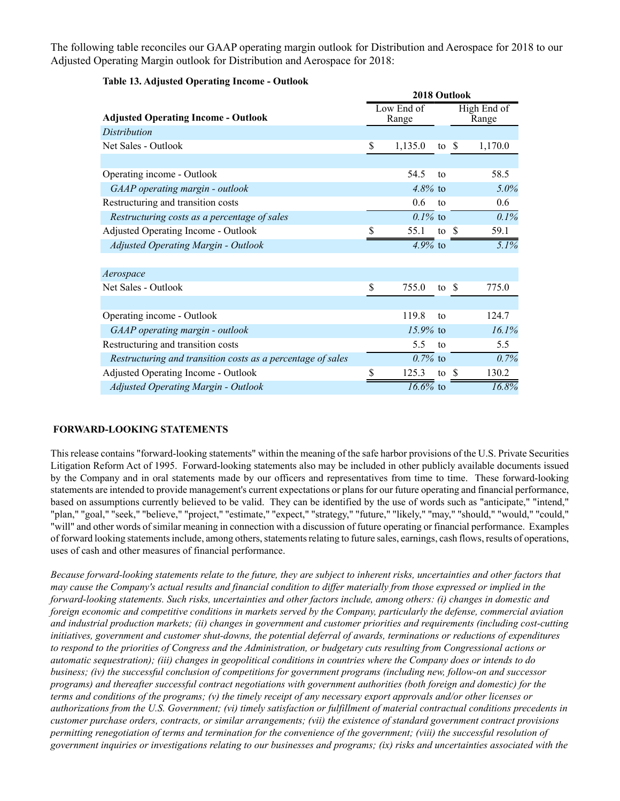The following table reconciles our GAAP operating margin outlook for Distribution and Aerospace for 2018 to our Adjusted Operating Margin outlook for Distribution and Aerospace for 2018:

|                                                             | 2018 Outlook |                     |               |  |                      |  |  |  |  |
|-------------------------------------------------------------|--------------|---------------------|---------------|--|----------------------|--|--|--|--|
| <b>Adjusted Operating Income - Outlook</b>                  |              | Low End of<br>Range |               |  | High End of<br>Range |  |  |  |  |
| Distribution                                                |              |                     |               |  |                      |  |  |  |  |
| Net Sales - Outlook                                         | \$           | 1,135.0             | to $\sqrt{s}$ |  | 1,170.0              |  |  |  |  |
|                                                             |              |                     |               |  |                      |  |  |  |  |
| Operating income - Outlook                                  |              | 54.5                | to            |  | 58.5                 |  |  |  |  |
| GAAP operating margin - outlook                             |              | $4.8\%$ to          |               |  | $5.0\%$              |  |  |  |  |
| Restructuring and transition costs                          |              | 0.6                 | to            |  | 0.6                  |  |  |  |  |
| Restructuring costs as a percentage of sales                |              | $0.1\%$ to          |               |  | 0.1%                 |  |  |  |  |
| Adjusted Operating Income - Outlook                         | \$           | 55.1                | to $\sqrt{s}$ |  | 59.1                 |  |  |  |  |
| <b>Adjusted Operating Margin - Outlook</b>                  |              | 4.9% to             |               |  | 5.1%                 |  |  |  |  |
| Aerospace                                                   |              |                     |               |  |                      |  |  |  |  |
| Net Sales - Outlook                                         | \$           | 755.0               | to $\sqrt{s}$ |  | 775.0                |  |  |  |  |
|                                                             |              |                     |               |  |                      |  |  |  |  |
| Operating income - Outlook                                  |              | 119.8               | to            |  | 124.7                |  |  |  |  |
| GAAP operating margin - outlook                             |              | $15.9\%$ to         |               |  | 16.1%                |  |  |  |  |
| Restructuring and transition costs                          |              | 5.5                 | to            |  | 5.5                  |  |  |  |  |
| Restructuring and transition costs as a percentage of sales |              | $0.7\%$ to          |               |  | 0.7%                 |  |  |  |  |
| Adjusted Operating Income - Outlook                         | \$           | 125.3               | to \$         |  | 130.2                |  |  |  |  |
| <b>Adjusted Operating Margin - Outlook</b>                  |              | $16.6\%$ to         |               |  | 16.8%                |  |  |  |  |

## **Table 13. Adjusted Operating Income - Outlook**

## **FORWARD-LOOKING STATEMENTS**

This release contains "forward-looking statements" within the meaning of the safe harbor provisions of the U.S. Private Securities Litigation Reform Act of 1995. Forward-looking statements also may be included in other publicly available documents issued by the Company and in oral statements made by our officers and representatives from time to time. These forward-looking statements are intended to provide management's current expectations or plans for our future operating and financial performance, based on assumptions currently believed to be valid. They can be identified by the use of words such as "anticipate," "intend," "plan," "goal," "seek," "believe," "project," "estimate," "expect," "strategy," "future," "likely," "may," "should," "would," "could," "will" and other words of similar meaning in connection with a discussion of future operating or financial performance. Examples of forward looking statements include, among others, statements relating to future sales, earnings, cash flows, results of operations, uses of cash and other measures of financial performance.

*Because forward-looking statements relate to the future, they are subject to inherent risks, uncertainties and other factors that may cause the Company's actual results and financial condition to differ materially from those expressed or implied in the forward-looking statements. Such risks, uncertainties and other factors include, among others: (i) changes in domestic and foreign economic and competitive conditions in markets served by the Company, particularly the defense, commercial aviation and industrial production markets; (ii) changes in government and customer priorities and requirements (including cost-cutting initiatives, government and customer shut-downs, the potential deferral of awards, terminations or reductions of expenditures to respond to the priorities of Congress and the Administration, or budgetary cuts resulting from Congressional actions or automatic sequestration); (iii) changes in geopolitical conditions in countries where the Company does or intends to do business; (iv) the successful conclusion of competitions for government programs (including new, follow-on and successor programs) and thereafter successful contract negotiations with government authorities (both foreign and domestic) for the terms and conditions of the programs; (v) the timely receipt of any necessary export approvals and/or other licenses or authorizations from the U.S. Government; (vi) timely satisfaction or fulfillment of material contractual conditions precedents in customer purchase orders, contracts, or similar arrangements; (vii) the existence of standard government contract provisions permitting renegotiation of terms and termination for the convenience of the government; (viii) the successful resolution of government inquiries or investigations relating to our businesses and programs; (ix) risks and uncertainties associated with the*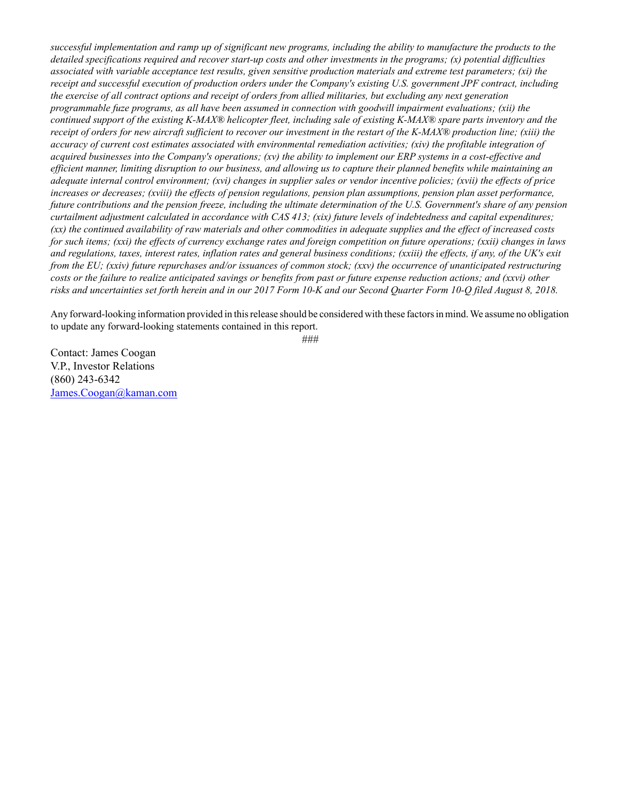*successful implementation and ramp up of significant new programs, including the ability to manufacture the products to the detailed specifications required and recover start-up costs and other investments in the programs; (x) potential difficulties associated with variable acceptance test results, given sensitive production materials and extreme test parameters; (xi) the receipt and successful execution of production orders under the Company's existing U.S. government JPF contract, including the exercise of all contract options and receipt of orders from allied militaries, but excluding any next generation programmable fuze programs, as all have been assumed in connection with goodwill impairment evaluations; (xii) the continued support of the existing K-MAX® helicopter fleet, including sale of existing K-MAX® spare parts inventory and the receipt of orders for new aircraft sufficient to recover our investment in the restart of the K-MAX® production line; (xiii) the accuracy of current cost estimates associated with environmental remediation activities; (xiv) the profitable integration of acquired businesses into the Company's operations; (xv) the ability to implement our ERP systems in a cost-effective and efficient manner, limiting disruption to our business, and allowing us to capture their planned benefits while maintaining an adequate internal control environment; (xvi) changes in supplier sales or vendor incentive policies; (xvii) the effects of price increases or decreases; (xviii) the effects of pension regulations, pension plan assumptions, pension plan asset performance, future contributions and the pension freeze, including the ultimate determination of the U.S. Government's share of any pension curtailment adjustment calculated in accordance with CAS 413; (xix) future levels of indebtedness and capital expenditures; (xx) the continued availability of raw materials and other commodities in adequate supplies and the effect of increased costs for such items; (xxi) the effects of currency exchange rates and foreign competition on future operations; (xxii) changes in laws and regulations, taxes, interest rates, inflation rates and general business conditions; (xxiii) the effects, if any, of the UK's exit from the EU; (xxiv) future repurchases and/or issuances of common stock; (xxv) the occurrence of unanticipated restructuring costs or the failure to realize anticipated savings or benefits from past or future expense reduction actions; and (xxvi) other risks and uncertainties set forth herein and in our 2017 Form 10-K and our Second Quarter Form 10-Q filed August 8, 2018.*

Any forward-looking information provided in this release should be considered with these factors in mind. We assume no obligation to update any forward-looking statements contained in this report.

*###*

Contact: James Coogan V.P., Investor Relations (860) 243-6342 James.Coogan@kaman.com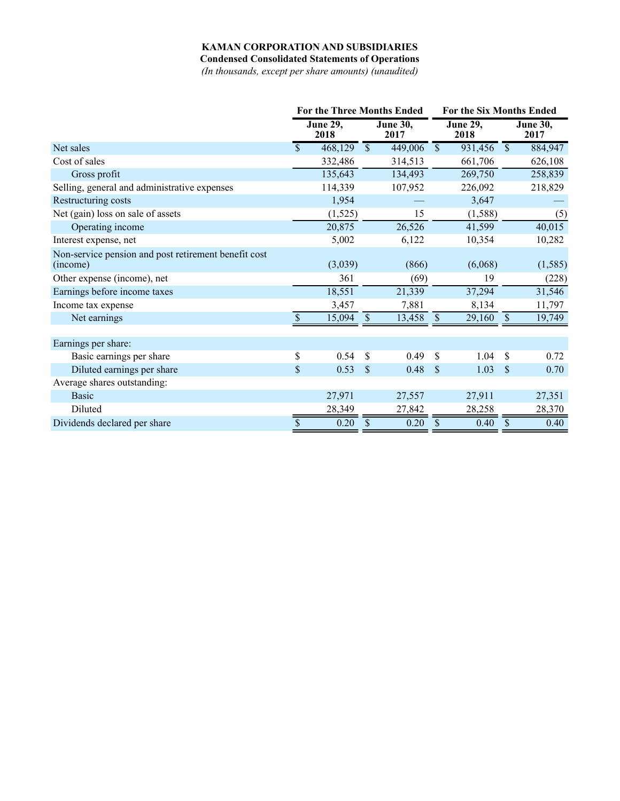# **KAMAN CORPORATION AND SUBSIDIARIES**

**Condensed Consolidated Statements of Operations**

*(In thousands, except per share amounts) (unaudited)*

|                                                                  |     | <b>For the Three Months Ended</b> |                          | For the Six Months Ended |                           |                         |               |                         |
|------------------------------------------------------------------|-----|-----------------------------------|--------------------------|--------------------------|---------------------------|-------------------------|---------------|-------------------------|
|                                                                  |     | <b>June 29,</b><br>2018           |                          | <b>June 30,</b><br>2017  |                           | <b>June 29,</b><br>2018 |               | <b>June 30,</b><br>2017 |
| Net sales                                                        | \$. | 468,129                           | $\overline{\mathcal{S}}$ | 449,006                  | $\overline{\mathcal{S}}$  | 931,456                 | $\mathbb{S}$  | 884,947                 |
| Cost of sales                                                    |     | 332,486                           |                          | 314,513                  |                           | 661,706                 |               | 626,108                 |
| Gross profit                                                     |     | 135,643                           |                          | 134,493                  |                           | 269,750                 |               | 258,839                 |
| Selling, general and administrative expenses                     |     | 114,339                           |                          | 107,952                  |                           | 226,092                 |               | 218,829                 |
| Restructuring costs                                              |     | 1,954                             |                          |                          |                           | 3,647                   |               |                         |
| Net (gain) loss on sale of assets                                |     | (1,525)                           |                          | 15                       |                           | (1,588)                 |               | (5)                     |
| Operating income                                                 |     | 20,875                            |                          | 26,526                   |                           | 41,599                  |               | 40,015                  |
| Interest expense, net                                            |     | 5,002                             |                          | 6,122                    |                           | 10,354                  |               | 10,282                  |
| Non-service pension and post retirement benefit cost<br>(income) |     | (3,039)                           |                          | (866)                    |                           | (6,068)                 |               | (1, 585)                |
| Other expense (income), net                                      |     | 361                               |                          | (69)                     |                           | 19                      |               | (228)                   |
| Earnings before income taxes                                     |     | 18,551                            |                          | 21,339                   |                           | 37,294                  |               | 31,546                  |
| Income tax expense                                               |     | 3,457                             |                          | 7,881                    |                           | 8,134                   |               | 11,797                  |
| Net earnings                                                     |     | 15,094                            | \$                       | 13,458                   | $\boldsymbol{\mathsf{S}}$ | 29,160                  | \$            | 19,749                  |
| Earnings per share:                                              |     |                                   |                          |                          |                           |                         |               |                         |
| Basic earnings per share                                         | \$  | 0.54                              | \$                       | 0.49                     | \$                        | 1.04                    | \$            | 0.72                    |
| Diluted earnings per share                                       | \$  | 0.53                              | $\mathbb{S}$             | 0.48                     | $\mathcal{S}$             | 1.03                    | \$            | 0.70                    |
| Average shares outstanding:                                      |     |                                   |                          |                          |                           |                         |               |                         |
| <b>Basic</b>                                                     |     | 27,971                            |                          | 27,557                   |                           | 27,911                  |               | 27,351                  |
| Diluted                                                          |     | 28,349                            |                          | 27,842                   |                           | 28,258                  |               | 28,370                  |
| Dividends declared per share                                     | \$  | 0.20                              | \$                       | 0.20                     | $\mathbb{S}$              | 0.40                    | $\mathcal{S}$ | 0.40                    |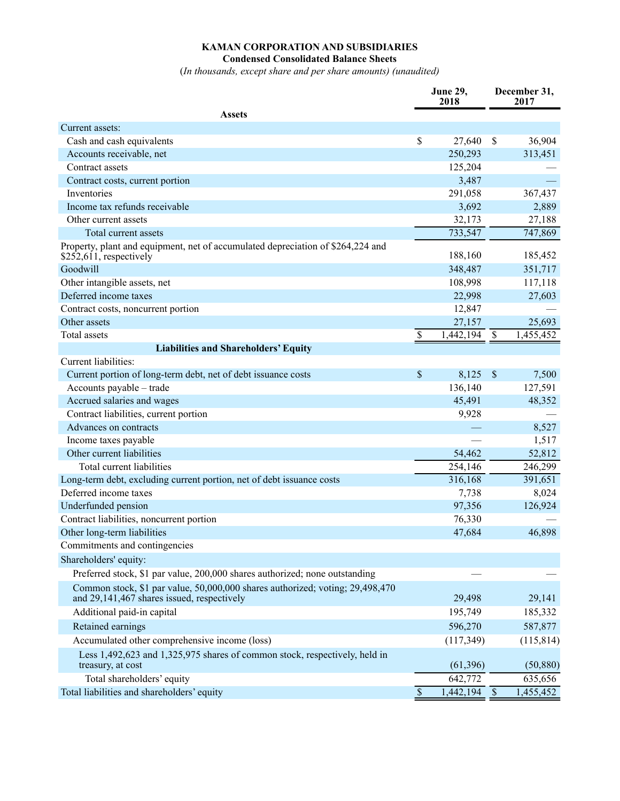## **KAMAN CORPORATION AND SUBSIDIARIES Condensed Consolidated Balance Sheets**

(*In thousands, except share and per share amounts) (unaudited)*

|                                                                                                                             | <b>June 29,</b><br>2018   |           | December 31,<br>2017 |            |  |
|-----------------------------------------------------------------------------------------------------------------------------|---------------------------|-----------|----------------------|------------|--|
| <b>Assets</b>                                                                                                               |                           |           |                      |            |  |
| Current assets:                                                                                                             |                           |           |                      |            |  |
| Cash and cash equivalents                                                                                                   | $\boldsymbol{\mathsf{S}}$ | 27,640    | $\mathcal{S}$        | 36,904     |  |
| Accounts receivable, net                                                                                                    |                           | 250,293   |                      | 313,451    |  |
| Contract assets                                                                                                             |                           | 125,204   |                      |            |  |
| Contract costs, current portion                                                                                             |                           | 3,487     |                      |            |  |
| Inventories                                                                                                                 |                           | 291,058   |                      | 367,437    |  |
| Income tax refunds receivable                                                                                               |                           | 3,692     |                      | 2,889      |  |
| Other current assets                                                                                                        |                           | 32,173    |                      | 27,188     |  |
| Total current assets                                                                                                        |                           | 733,547   |                      | 747,869    |  |
| Property, plant and equipment, net of accumulated depreciation of \$264,224 and<br>$$252,611$ , respectively                |                           | 188,160   |                      | 185,452    |  |
| Goodwill                                                                                                                    |                           | 348,487   |                      | 351,717    |  |
| Other intangible assets, net                                                                                                |                           | 108,998   |                      | 117,118    |  |
| Deferred income taxes                                                                                                       |                           | 22,998    |                      | 27,603     |  |
| Contract costs, noncurrent portion                                                                                          |                           | 12,847    |                      |            |  |
| Other assets                                                                                                                |                           | 27,157    |                      | 25,693     |  |
| <b>Total</b> assets                                                                                                         | \$                        | 1,442,194 | $\mathbb{S}$         | 1,455,452  |  |
| <b>Liabilities and Shareholders' Equity</b>                                                                                 |                           |           |                      |            |  |
| Current liabilities:                                                                                                        |                           |           |                      |            |  |
| Current portion of long-term debt, net of debt issuance costs                                                               | \$                        | 8,125     | $\mathsf{\$}$        | 7,500      |  |
| Accounts payable - trade                                                                                                    |                           | 136,140   |                      | 127,591    |  |
| Accrued salaries and wages                                                                                                  |                           | 45,491    |                      | 48,352     |  |
| Contract liabilities, current portion                                                                                       |                           | 9,928     |                      |            |  |
| Advances on contracts                                                                                                       |                           |           |                      | 8,527      |  |
| Income taxes payable                                                                                                        |                           |           |                      | 1,517      |  |
| Other current liabilities                                                                                                   |                           | 54,462    |                      | 52,812     |  |
| Total current liabilities                                                                                                   |                           | 254,146   |                      | 246,299    |  |
| Long-term debt, excluding current portion, net of debt issuance costs                                                       |                           | 316,168   |                      | 391,651    |  |
| Deferred income taxes                                                                                                       |                           | 7,738     |                      | 8,024      |  |
| Underfunded pension                                                                                                         |                           | 97,356    |                      | 126,924    |  |
| Contract liabilities, noncurrent portion                                                                                    |                           | 76,330    |                      |            |  |
| Other long-term liabilities                                                                                                 |                           | 47,684    |                      | 46,898     |  |
| Commitments and contingencies                                                                                               |                           |           |                      |            |  |
| Shareholders' equity:                                                                                                       |                           |           |                      |            |  |
| Preferred stock, \$1 par value, 200,000 shares authorized; none outstanding                                                 |                           |           |                      |            |  |
| Common stock, \$1 par value, 50,000,000 shares authorized; voting; 29,498,470<br>and 29,141,467 shares issued, respectively |                           | 29,498    |                      | 29,141     |  |
| Additional paid-in capital                                                                                                  |                           | 195,749   |                      | 185,332    |  |
| Retained earnings                                                                                                           |                           | 596,270   |                      | 587,877    |  |
| Accumulated other comprehensive income (loss)                                                                               |                           | (117,349) |                      | (115, 814) |  |
| Less 1,492,623 and 1,325,975 shares of common stock, respectively, held in<br>treasury, at cost                             |                           | (61, 396) |                      | (50, 880)  |  |
| Total shareholders' equity                                                                                                  |                           | 642,772   |                      | 635,656    |  |
| Total liabilities and shareholders' equity                                                                                  | $\mathcal{S}$             | 1,442,194 | $\mathcal{S}$        | 1,455,452  |  |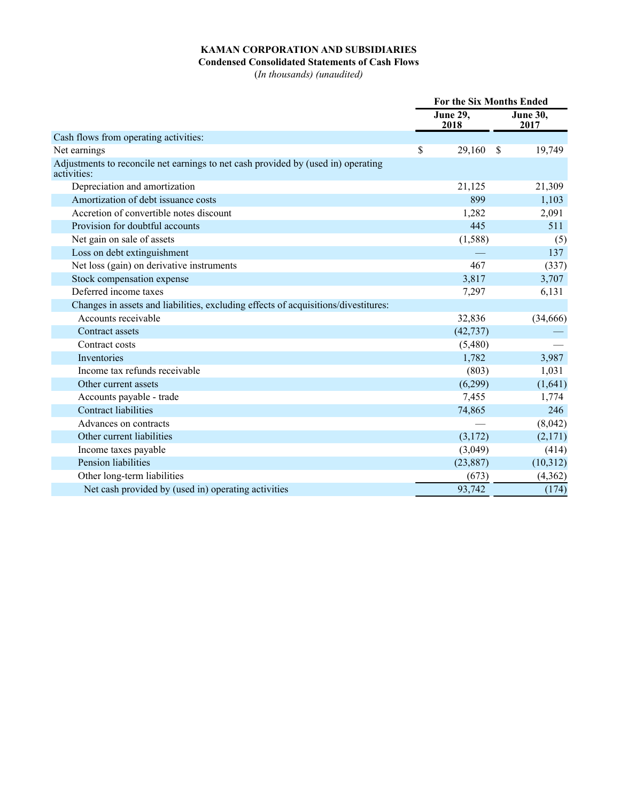# **KAMAN CORPORATION AND SUBSIDIARIES**

## **Condensed Consolidated Statements of Cash Flows**

(*In thousands) (unaudited)*

|                                                                                                  | <b>For the Six Months Ended</b> |           |              |                         |  |
|--------------------------------------------------------------------------------------------------|---------------------------------|-----------|--------------|-------------------------|--|
|                                                                                                  | <b>June 29,</b><br>2018         |           |              | <b>June 30,</b><br>2017 |  |
| Cash flows from operating activities:                                                            |                                 |           |              |                         |  |
| Net earnings                                                                                     | \$                              | 29,160    | <sup>S</sup> | 19,749                  |  |
| Adjustments to reconcile net earnings to net cash provided by (used in) operating<br>activities: |                                 |           |              |                         |  |
| Depreciation and amortization                                                                    |                                 | 21,125    |              | 21,309                  |  |
| Amortization of debt issuance costs                                                              |                                 | 899       |              | 1,103                   |  |
| Accretion of convertible notes discount                                                          |                                 | 1,282     |              | 2,091                   |  |
| Provision for doubtful accounts                                                                  |                                 | 445       |              | 511                     |  |
| Net gain on sale of assets                                                                       |                                 | (1, 588)  |              | (5)                     |  |
| Loss on debt extinguishment                                                                      |                                 |           |              | 137                     |  |
| Net loss (gain) on derivative instruments                                                        |                                 | 467       |              | (337)                   |  |
| Stock compensation expense                                                                       |                                 | 3,817     |              | 3,707                   |  |
| Deferred income taxes                                                                            |                                 | 7,297     |              | 6,131                   |  |
| Changes in assets and liabilities, excluding effects of acquisitions/divestitures:               |                                 |           |              |                         |  |
| Accounts receivable                                                                              |                                 | 32,836    |              | (34,666)                |  |
| Contract assets                                                                                  |                                 | (42, 737) |              |                         |  |
| Contract costs                                                                                   |                                 | (5,480)   |              |                         |  |
| Inventories                                                                                      |                                 | 1,782     |              | 3,987                   |  |
| Income tax refunds receivable                                                                    |                                 | (803)     |              | 1,031                   |  |
| Other current assets                                                                             |                                 | (6,299)   |              | (1,641)                 |  |
| Accounts payable - trade                                                                         |                                 | 7,455     |              | 1,774                   |  |
| <b>Contract liabilities</b>                                                                      |                                 | 74,865    |              | 246                     |  |
| Advances on contracts                                                                            |                                 |           |              | (8,042)                 |  |
| Other current liabilities                                                                        |                                 | (3,172)   |              | (2,171)                 |  |
| Income taxes payable                                                                             |                                 | (3,049)   |              | (414)                   |  |
| Pension liabilities                                                                              |                                 | (23, 887) |              | (10,312)                |  |
| Other long-term liabilities                                                                      |                                 | (673)     |              | (4,362)                 |  |
| Net cash provided by (used in) operating activities                                              |                                 | 93,742    |              | (174)                   |  |